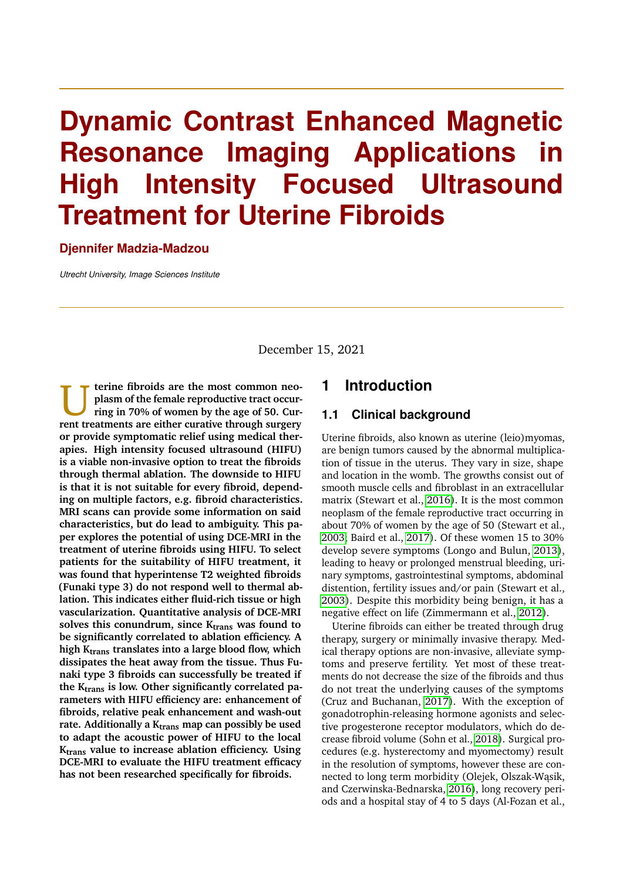# **Dynamic Contrast Enhanced Magnetic Resonance Imaging Applications High Intensity Focused Ultrasound Treatment for Uterine Fibroids**

#### **Djennifer Madzia-Madzou**

*Utrecht University, Image Sciences Institute*

December 15, 2021

U **terine fibroids are the most common neoplasm of the female reproductive tract occurring in 70% of women by the age of 50. Current treatments are either curative through surgery or provide symptomatic relief using medical therapies. High intensity focused ultrasound (HIFU) is a viable non-invasive option to treat the fibroids through thermal ablation. The downside to HIFU is that it is not suitable for every fibroid, depending on multiple factors, e.g. fibroid characteristics. MRI scans can provide some information on said characteristics, but do lead to ambiguity. This paper explores the potential of using DCE-MRI in the treatment of uterine fibroids using HIFU. To select patients for the suitability of HIFU treatment, it was found that hyperintense T2 weighted fibroids (Funaki type 3) do not respond well to thermal ablation. This indicates either fluid-rich tissue or high vascularization. Quantitative analysis of DCE-MRI solves this conundrum, since Ktrans was found to be significantly correlated to ablation efficiency. A high Ktrans translates into a large blood flow, which dissipates the heat away from the tissue. Thus Funaki type 3 fibroids can successfully be treated if the Ktrans is low. Other significantly correlated parameters with HIFU efficiency are: enhancement of fibroids, relative peak enhancement and wash-out rate. Additionally a Ktrans map can possibly be used to adapt the acoustic power of HIFU to the local Ktrans value to increase ablation efficiency. Using DCE-MRI to evaluate the HIFU treatment efficacy has not been researched specifically for fibroids.**

#### **1 Introduction**

#### **1.1 Clinical background**

Uterine fibroids, also known as uterine (leio)myomas, are benign tumors caused by the abnormal multiplication of tissue in the uterus. They vary in size, shape and location in the womb. The growths consist out of smooth muscle cells and fibroblast in an extracellular matrix (Stewart et al., [2016\)](#page-8-0). It is the most common neoplasm of the female reproductive tract occurring in about 70% of women by the age of 50 (Stewart et al., [2003;](#page-8-1) Baird et al., [2017\)](#page-7-0). Of these women 15 to 30% develop severe symptoms (Longo and Bulun, [2013\)](#page-8-2), leading to heavy or prolonged menstrual bleeding, urinary symptoms, gastrointestinal symptoms, abdominal distention, fertility issues and/or pain (Stewart et al., [2003\)](#page-8-1). Despite this morbidity being benign, it has a negative effect on life (Zimmermann et al., [2012\)](#page-9-0).

Uterine fibroids can either be treated through drug therapy, surgery or minimally invasive therapy. Medical therapy options are non-invasive, alleviate symptoms and preserve fertility. Yet most of these treatments do not decrease the size of the fibroids and thus do not treat the underlying causes of the symptoms (Cruz and Buchanan, [2017\)](#page-7-1). With the exception of gonadotrophin-releasing hormone agonists and selective progesterone receptor modulators, which do decrease fibroid volume (Sohn et al., [2018\)](#page-8-3). Surgical procedures (e.g. hysterectomy and myomectomy) result in the resolution of symptoms, however these are connected to long term morbidity (Olejek, Olszak-Wąsik, and Czerwinska-Bednarska, [2016\)](#page-8-4), long recovery periods and a hospital stay of 4 to 5 days (Al-Fozan et al.,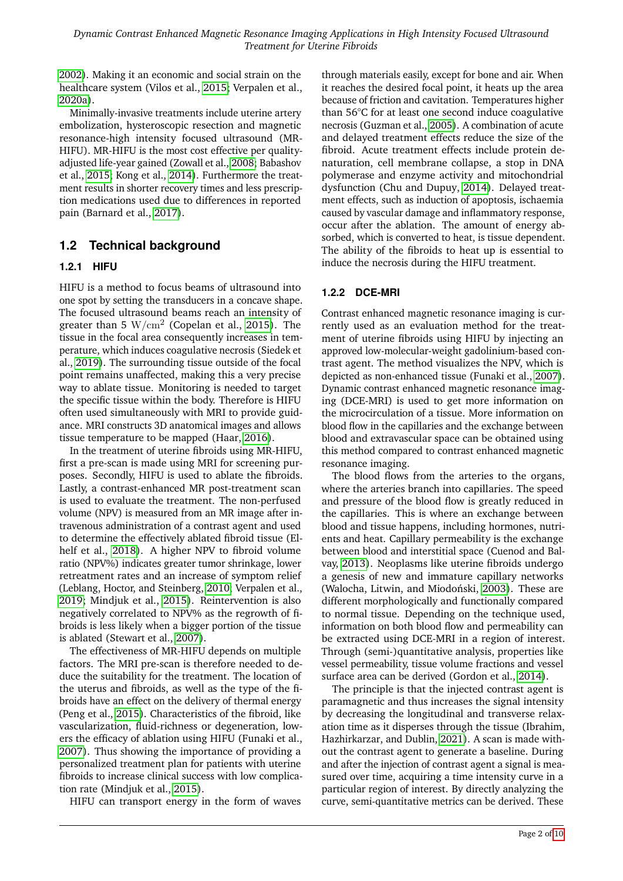[2002\)](#page-6-0). Making it an economic and social strain on the healthcare system (Vilos et al., [2015;](#page-8-5) Verpalen et al., [2020a\)](#page-8-6).

Minimally-invasive treatments include uterine artery embolization, hysteroscopic resection and magnetic resonance-high intensity focused ultrasound (MR-HIFU). MR-HIFU is the most cost effective per qualityadjusted life-year gained (Zowall et al., [2008;](#page-9-1) Babashov et al., [2015;](#page-7-2) Kong et al., [2014\)](#page-7-3). Furthermore the treatment results in shorter recovery times and less prescription medications used due to differences in reported pain (Barnard et al., [2017\)](#page-7-4).

## **1.2 Technical background**

#### **1.2.1 HIFU**

HIFU is a method to focus beams of ultrasound into one spot by setting the transducers in a concave shape. The focused ultrasound beams reach an intensity of greater than 5  $\mathrm{W/cm^2}$  (Copelan et al., [2015\)](#page-7-5). The tissue in the focal area consequently increases in temperature, which induces coagulative necrosis (Siedek et al., [2019\)](#page-8-7). The surrounding tissue outside of the focal point remains unaffected, making this a very precise way to ablate tissue. Monitoring is needed to target the specific tissue within the body. Therefore is HIFU often used simultaneously with MRI to provide guidance. MRI constructs 3D anatomical images and allows tissue temperature to be mapped (Haar, [2016\)](#page-7-6).

In the treatment of uterine fibroids using MR-HIFU, first a pre-scan is made using MRI for screening purposes. Secondly, HIFU is used to ablate the fibroids. Lastly, a contrast-enhanced MR post-treatment scan is used to evaluate the treatment. The non-perfused volume (NPV) is measured from an MR image after intravenous administration of a contrast agent and used to determine the effectively ablated fibroid tissue (Elhelf et al., [2018\)](#page-7-7). A higher NPV to fibroid volume ratio (NPV%) indicates greater tumor shrinkage, lower retreatment rates and an increase of symptom relief (Leblang, Hoctor, and Steinberg, [2010;](#page-8-8) Verpalen et al., [2019;](#page-8-9) Mindjuk et al., [2015\)](#page-8-10). Reintervention is also negatively correlated to NPV% as the regrowth of fibroids is less likely when a bigger portion of the tissue is ablated (Stewart et al., [2007\)](#page-8-11).

The effectiveness of MR-HIFU depends on multiple factors. The MRI pre-scan is therefore needed to deduce the suitability for the treatment. The location of the uterus and fibroids, as well as the type of the fibroids have an effect on the delivery of thermal energy (Peng et al., [2015\)](#page-8-12). Characteristics of the fibroid, like vascularization, fluid-richness or degeneration, lowers the efficacy of ablation using HIFU (Funaki et al., [2007\)](#page-7-8). Thus showing the importance of providing a personalized treatment plan for patients with uterine fibroids to increase clinical success with low complication rate (Mindjuk et al., [2015\)](#page-8-10).

HIFU can transport energy in the form of waves

through materials easily, except for bone and air. When it reaches the desired focal point, it heats up the area because of friction and cavitation. Temperatures higher than 56°C for at least one second induce coagulative necrosis (Guzman et al., [2005\)](#page-7-9). A combination of acute and delayed treatment effects reduce the size of the fibroid. Acute treatment effects include protein denaturation, cell membrane collapse, a stop in DNA polymerase and enzyme activity and mitochondrial dysfunction (Chu and Dupuy, [2014\)](#page-7-10). Delayed treatment effects, such as induction of apoptosis, ischaemia caused by vascular damage and inflammatory response, occur after the ablation. The amount of energy absorbed, which is converted to heat, is tissue dependent. The ability of the fibroids to heat up is essential to induce the necrosis during the HIFU treatment.

### **1.2.2 DCE-MRI**

Contrast enhanced magnetic resonance imaging is currently used as an evaluation method for the treatment of uterine fibroids using HIFU by injecting an approved low-molecular-weight gadolinium-based contrast agent. The method visualizes the NPV, which is depicted as non-enhanced tissue (Funaki et al., [2007\)](#page-7-8). Dynamic contrast enhanced magnetic resonance imaging (DCE-MRI) is used to get more information on the microcirculation of a tissue. More information on blood flow in the capillaries and the exchange between blood and extravascular space can be obtained using this method compared to contrast enhanced magnetic resonance imaging.

The blood flows from the arteries to the organs, where the arteries branch into capillaries. The speed and pressure of the blood flow is greatly reduced in the capillaries. This is where an exchange between blood and tissue happens, including hormones, nutrients and heat. Capillary permeability is the exchange between blood and interstitial space (Cuenod and Balvay, [2013\)](#page-7-11). Neoplasms like uterine fibroids undergo a genesis of new and immature capillary networks (Walocha, Litwin, and Miodoński, [2003\)](#page-9-2). These are different morphologically and functionally compared to normal tissue. Depending on the technique used, information on both blood flow and permeability can be extracted using DCE-MRI in a region of interest. Through (semi-)quantitative analysis, properties like vessel permeability, tissue volume fractions and vessel surface area can be derived (Gordon et al., [2014\)](#page-7-12).

The principle is that the injected contrast agent is paramagnetic and thus increases the signal intensity by decreasing the longitudinal and transverse relaxation time as it disperses through the tissue (Ibrahim, Hazhirkarzar, and Dublin, [2021\)](#page-7-13). A scan is made without the contrast agent to generate a baseline. During and after the injection of contrast agent a signal is measured over time, acquiring a time intensity curve in a particular region of interest. By directly analyzing the curve, semi-quantitative metrics can be derived. These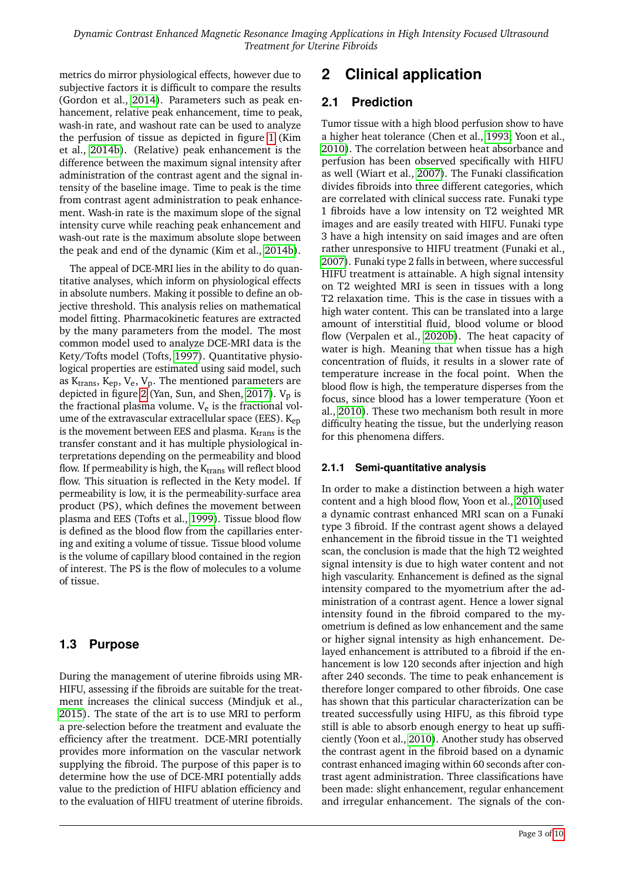metrics do mirror physiological effects, however due to subjective factors it is difficult to compare the results (Gordon et al., [2014\)](#page-7-12). Parameters such as peak enhancement, relative peak enhancement, time to peak, wash-in rate, and washout rate can be used to analyze the perfusion of tissue as depicted in figure [1](#page-3-0) (Kim et al., [2014b\)](#page-7-14). (Relative) peak enhancement is the difference between the maximum signal intensity after administration of the contrast agent and the signal intensity of the baseline image. Time to peak is the time from contrast agent administration to peak enhancement. Wash-in rate is the maximum slope of the signal intensity curve while reaching peak enhancement and wash-out rate is the maximum absolute slope between the peak and end of the dynamic (Kim et al., [2014b\)](#page-7-14).

The appeal of DCE-MRI lies in the ability to do quantitative analyses, which inform on physiological effects in absolute numbers. Making it possible to define an objective threshold. This analysis relies on mathematical model fitting. Pharmacokinetic features are extracted by the many parameters from the model. The most common model used to analyze DCE-MRI data is the Kety/Tofts model (Tofts, [1997\)](#page-8-13). Quantitative physiological properties are estimated using said model, such as  $K_{trans}$ ,  $K_{ep}$ ,  $V_e$ ,  $V_p$ . The mentioned parameters are depicted in figure [2](#page-4-0) (Yan, Sun, and Shen, [2017\)](#page-9-4).  $V_p$  is the fractional plasma volume.  $V_e$  is the fractional volume of the extravascular extracellular space (EES).  $K_{en}$ is the movement between EES and plasma.  $K_{trans}$  is the transfer constant and it has multiple physiological interpretations depending on the permeability and blood flow. If permeability is high, the  $K_{trans}$  will reflect blood flow. This situation is reflected in the Kety model. If permeability is low, it is the permeability-surface area product (PS), which defines the movement between plasma and EES (Tofts et al., [1999\)](#page-8-14). Tissue blood flow is defined as the blood flow from the capillaries entering and exiting a volume of tissue. Tissue blood volume is the volume of capillary blood contained in the region of interest. The PS is the flow of molecules to a volume of tissue.

## **1.3 Purpose**

During the management of uterine fibroids using MR-HIFU, assessing if the fibroids are suitable for the treatment increases the clinical success (Mindjuk et al., [2015\)](#page-8-10). The state of the art is to use MRI to perform a pre-selection before the treatment and evaluate the efficiency after the treatment. DCE-MRI potentially provides more information on the vascular network supplying the fibroid. The purpose of this paper is to determine how the use of DCE-MRI potentially adds value to the prediction of HIFU ablation efficiency and to the evaluation of HIFU treatment of uterine fibroids.

## **2 Clinical application**

## **2.1 Prediction**

Tumor tissue with a high blood perfusion show to have a higher heat tolerance (Chen et al., [1993;](#page-7-15) Yoon et al., [2010\)](#page-9-5). The correlation between heat absorbance and perfusion has been observed specifically with HIFU as well (Wiart et al., [2007\)](#page-9-6). The Funaki classification divides fibroids into three different categories, which are correlated with clinical success rate. Funaki type 1 fibroids have a low intensity on T2 weighted MR images and are easily treated with HIFU. Funaki type 3 have a high intensity on said images and are often rather unresponsive to HIFU treatment (Funaki et al., [2007\)](#page-7-8). Funaki type 2 falls in between, where successful HIFU treatment is attainable. A high signal intensity on T2 weighted MRI is seen in tissues with a long T2 relaxation time. This is the case in tissues with a high water content. This can be translated into a large amount of interstitial fluid, blood volume or blood flow (Verpalen et al., [2020b\)](#page-8-15). The heat capacity of water is high. Meaning that when tissue has a high concentration of fluids, it results in a slower rate of temperature increase in the focal point. When the blood flow is high, the temperature disperses from the focus, since blood has a lower temperature (Yoon et al., [2010\)](#page-9-5). These two mechanism both result in more difficulty heating the tissue, but the underlying reason for this phenomena differs.

#### **2.1.1 Semi-quantitative analysis**

In order to make a distinction between a high water content and a high blood flow, Yoon et al., [2010](#page-9-5) used a dynamic contrast enhanced MRI scan on a Funaki type 3 fibroid. If the contrast agent shows a delayed enhancement in the fibroid tissue in the T1 weighted scan, the conclusion is made that the high T2 weighted signal intensity is due to high water content and not high vascularity. Enhancement is defined as the signal intensity compared to the myometrium after the administration of a contrast agent. Hence a lower signal intensity found in the fibroid compared to the myometrium is defined as low enhancement and the same or higher signal intensity as high enhancement. Delayed enhancement is attributed to a fibroid if the enhancement is low 120 seconds after injection and high after 240 seconds. The time to peak enhancement is therefore longer compared to other fibroids. One case has shown that this particular characterization can be treated successfully using HIFU, as this fibroid type still is able to absorb enough energy to heat up sufficiently (Yoon et al., [2010\)](#page-9-5). Another study has observed the contrast agent in the fibroid based on a dynamic contrast enhanced imaging within 60 seconds after contrast agent administration. Three classifications have been made: slight enhancement, regular enhancement and irregular enhancement. The signals of the con-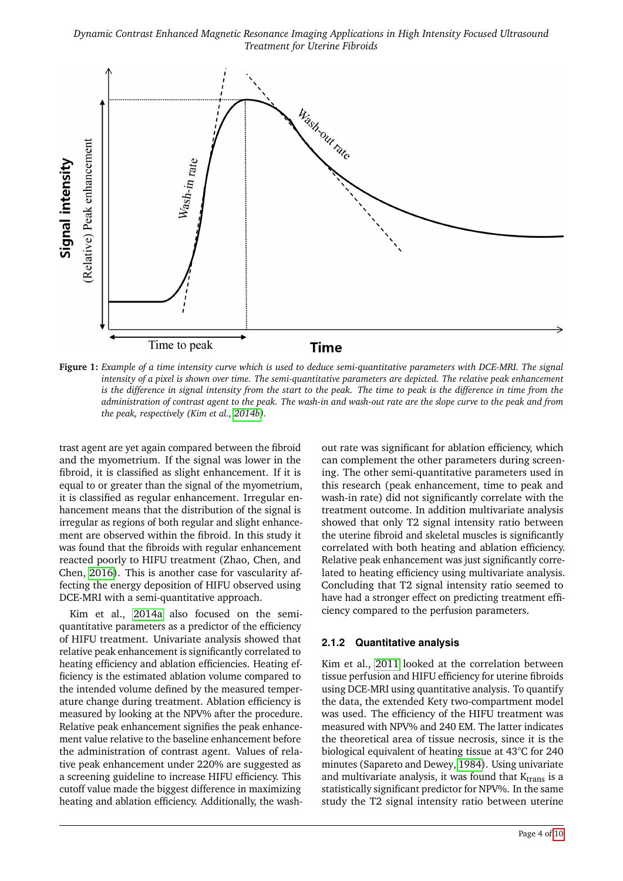*Dynamic Contrast Enhanced Magnetic Resonance Imaging Applications in High Intensity Focused Ultrasound Treatment for Uterine Fibroids*

<span id="page-3-0"></span>

**Figure 1:** *Example of a time intensity curve which is used to deduce semi-quantitative parameters with DCE-MRI. The signal intensity of a pixel is shown over time. The semi-quantitative parameters are depicted. The relative peak enhancement is the difference in signal intensity from the start to the peak. The time to peak is the difference in time from the administration of contrast agent to the peak. The wash-in and wash-out rate are the slope curve to the peak and from the peak, respectively (Kim et al., [2014b\)](#page-7-14).*

trast agent are yet again compared between the fibroid and the myometrium. If the signal was lower in the fibroid, it is classified as slight enhancement. If it is equal to or greater than the signal of the myometrium, it is classified as regular enhancement. Irregular enhancement means that the distribution of the signal is irregular as regions of both regular and slight enhancement are observed within the fibroid. In this study it was found that the fibroids with regular enhancement reacted poorly to HIFU treatment (Zhao, Chen, and Chen, [2016\)](#page-9-7). This is another case for vascularity affecting the energy deposition of HIFU observed using DCE-MRI with a semi-quantitative approach.

Kim et al., [2014a](#page-7-16) also focused on the semiquantitative parameters as a predictor of the efficiency of HIFU treatment. Univariate analysis showed that relative peak enhancement is significantly correlated to heating efficiency and ablation efficiencies. Heating efficiency is the estimated ablation volume compared to the intended volume defined by the measured temperature change during treatment. Ablation efficiency is measured by looking at the NPV% after the procedure. Relative peak enhancement signifies the peak enhancement value relative to the baseline enhancement before the administration of contrast agent. Values of relative peak enhancement under 220% are suggested as a screening guideline to increase HIFU efficiency. This cutoff value made the biggest difference in maximizing heating and ablation efficiency. Additionally, the washout rate was significant for ablation efficiency, which can complement the other parameters during screening. The other semi-quantitative parameters used in this research (peak enhancement, time to peak and wash-in rate) did not significantly correlate with the treatment outcome. In addition multivariate analysis showed that only T2 signal intensity ratio between the uterine fibroid and skeletal muscles is significantly correlated with both heating and ablation efficiency. Relative peak enhancement was just significantly correlated to heating efficiency using multivariate analysis. Concluding that T2 signal intensity ratio seemed to have had a stronger effect on predicting treatment efficiency compared to the perfusion parameters.

#### **2.1.2 Quantitative analysis**

Kim et al., [2011](#page-7-17) looked at the correlation between tissue perfusion and HIFU efficiency for uterine fibroids using DCE-MRI using quantitative analysis. To quantify the data, the extended Kety two-compartment model was used. The efficiency of the HIFU treatment was measured with NPV% and 240 EM. The latter indicates the theoretical area of tissue necrosis, since it is the biological equivalent of heating tissue at 43°C for 240 minutes (Sapareto and Dewey, [1984\)](#page-8-16). Using univariate and multivariate analysis, it was found that  $K<sub>trans</sub>$  is a statistically significant predictor for NPV%. In the same study the T2 signal intensity ratio between uterine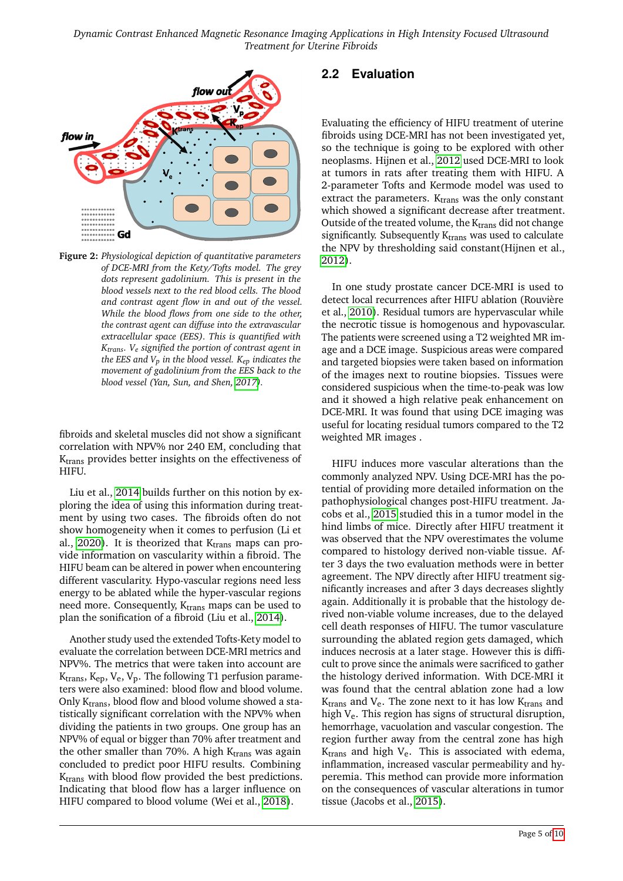<span id="page-4-0"></span>

**Figure 2:** *Physiological depiction of quantitative parameters of DCE-MRI from the Kety/Tofts model. The grey dots represent gadolinium. This is present in the blood vessels next to the red blood cells. The blood and contrast agent flow in and out of the vessel. While the blood flows from one side to the other, the contrast agent can diffuse into the extravascular extracellular space (EES). This is quantified with Ktrans. Ve signified the portion of contrast agent in the EES and Vp in the blood vessel. Kep indicates the movement of gadolinium from the EES back to the blood vessel (Yan, Sun, and Shen, [2017\)](#page-9-4).*

fibroids and skeletal muscles did not show a significant correlation with NPV% nor 240 EM, concluding that K<sub>trans</sub> provides better insights on the effectiveness of HIFU.

Liu et al., [2014](#page-8-17) builds further on this notion by exploring the idea of using this information during treatment by using two cases. The fibroids often do not show homogeneity when it comes to perfusion (Li et al., [2020\)](#page-8-18). It is theorized that  $K<sub>trans</sub>$  maps can provide information on vascularity within a fibroid. The HIFU beam can be altered in power when encountering different vascularity. Hypo-vascular regions need less energy to be ablated while the hyper-vascular regions need more. Consequently, K<sub>trans</sub> maps can be used to plan the sonification of a fibroid (Liu et al., [2014\)](#page-8-17).

Another study used the extended Tofts-Kety model to evaluate the correlation between DCE-MRI metrics and NPV%. The metrics that were taken into account are  $K_{trans}$ ,  $K_{ep}$ ,  $V_e$ ,  $V_p$ . The following T1 perfusion parameters were also examined: blood flow and blood volume. Only K<sub>trans</sub>, blood flow and blood volume showed a statistically significant correlation with the NPV% when dividing the patients in two groups. One group has an NPV% of equal or bigger than 70% after treatment and the other smaller than 70%. A high  $K_{trans}$  was again concluded to predict poor HIFU results. Combining K<sub>trans</sub> with blood flow provided the best predictions. Indicating that blood flow has a larger influence on HIFU compared to blood volume (Wei et al., [2018\)](#page-9-8).

## **2.2 Evaluation**

Evaluating the efficiency of HIFU treatment of uterine fibroids using DCE-MRI has not been investigated yet, so the technique is going to be explored with other neoplasms. Hijnen et al., [2012](#page-7-18) used DCE-MRI to look at tumors in rats after treating them with HIFU. A 2-parameter Tofts and Kermode model was used to extract the parameters.  $K_{trans}$  was the only constant which showed a significant decrease after treatment. Outside of the treated volume, the  $K_{trans}$  did not change significantly. Subsequently  $K<sub>trans</sub>$  was used to calculate the NPV by thresholding said constant(Hijnen et al., [2012\)](#page-7-18).

In one study prostate cancer DCE-MRI is used to detect local recurrences after HIFU ablation (Rouvière et al., [2010\)](#page-8-19). Residual tumors are hypervascular while the necrotic tissue is homogenous and hypovascular. The patients were screened using a T2 weighted MR image and a DCE image. Suspicious areas were compared and targeted biopsies were taken based on information of the images next to routine biopsies. Tissues were considered suspicious when the time-to-peak was low and it showed a high relative peak enhancement on DCE-MRI. It was found that using DCE imaging was useful for locating residual tumors compared to the T2 weighted MR images .

HIFU induces more vascular alterations than the commonly analyzed NPV. Using DCE-MRI has the potential of providing more detailed information on the pathophysiological changes post-HIFU treatment. Jacobs et al., [2015](#page-7-19) studied this in a tumor model in the hind limbs of mice. Directly after HIFU treatment it was observed that the NPV overestimates the volume compared to histology derived non-viable tissue. After 3 days the two evaluation methods were in better agreement. The NPV directly after HIFU treatment significantly increases and after 3 days decreases slightly again. Additionally it is probable that the histology derived non-viable volume increases, due to the delayed cell death responses of HIFU. The tumor vasculature surrounding the ablated region gets damaged, which induces necrosis at a later stage. However this is difficult to prove since the animals were sacrificed to gather the histology derived information. With DCE-MRI it was found that the central ablation zone had a low  $K<sub>trans</sub>$  and  $V<sub>e</sub>$ . The zone next to it has low  $K<sub>trans</sub>$  and high  $V_e$ . This region has signs of structural disruption, hemorrhage, vacuolation and vascular congestion. The region further away from the central zone has high  $K<sub>trans</sub>$  and high  $V<sub>e</sub>$ . This is associated with edema, inflammation, increased vascular permeability and hyperemia. This method can provide more information on the consequences of vascular alterations in tumor tissue (Jacobs et al., [2015\)](#page-7-19).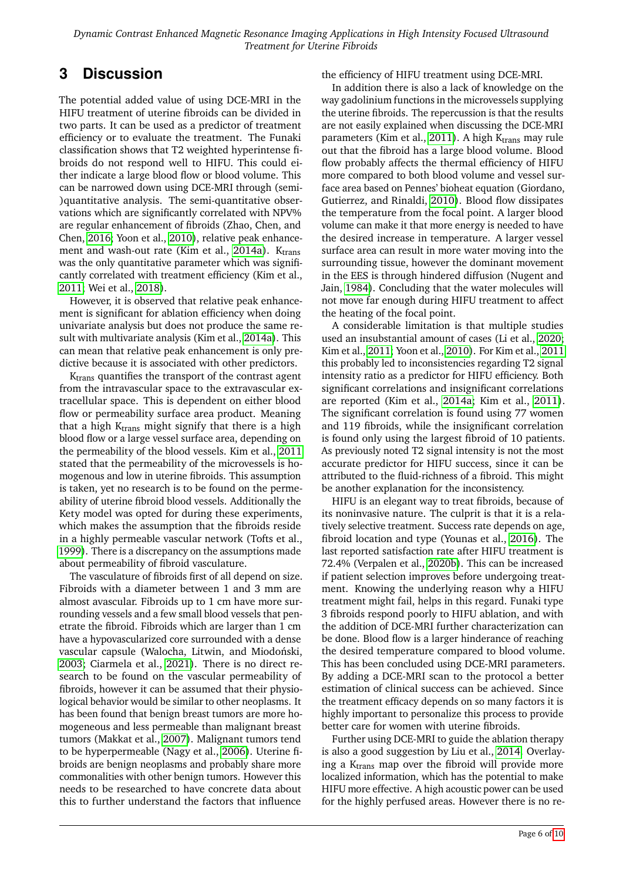# **3 Discussion**

The potential added value of using DCE-MRI in the HIFU treatment of uterine fibroids can be divided in two parts. It can be used as a predictor of treatment efficiency or to evaluate the treatment. The Funaki classification shows that T2 weighted hyperintense fibroids do not respond well to HIFU. This could either indicate a large blood flow or blood volume. This can be narrowed down using DCE-MRI through (semi- )quantitative analysis. The semi-quantitative observations which are significantly correlated with NPV% are regular enhancement of fibroids (Zhao, Chen, and Chen, [2016;](#page-9-7) Yoon et al., [2010\)](#page-9-5), relative peak enhance-ment and wash-out rate (Kim et al., [2014a\)](#page-7-16).  $K_{trans}$ was the only quantitative parameter which was significantly correlated with treatment efficiency (Kim et al., [2011;](#page-7-17) Wei et al., [2018\)](#page-9-8).

However, it is observed that relative peak enhancement is significant for ablation efficiency when doing univariate analysis but does not produce the same result with multivariate analysis (Kim et al., [2014a\)](#page-7-16). This can mean that relative peak enhancement is only predictive because it is associated with other predictors.

K<sub>trans</sub> quantifies the transport of the contrast agent from the intravascular space to the extravascular extracellular space. This is dependent on either blood flow or permeability surface area product. Meaning that a high  $K<sub>trans</sub>$  might signify that there is a high blood flow or a large vessel surface area, depending on the permeability of the blood vessels. Kim et al., [2011](#page-7-17) stated that the permeability of the microvessels is homogenous and low in uterine fibroids. This assumption is taken, yet no research is to be found on the permeability of uterine fibroid blood vessels. Additionally the Kety model was opted for during these experiments, which makes the assumption that the fibroids reside in a highly permeable vascular network (Tofts et al., [1999\)](#page-8-14). There is a discrepancy on the assumptions made about permeability of fibroid vasculature.

The vasculature of fibroids first of all depend on size. Fibroids with a diameter between 1 and 3 mm are almost avascular. Fibroids up to 1 cm have more surrounding vessels and a few small blood vessels that penetrate the fibroid. Fibroids which are larger than 1 cm have a hypovascularized core surrounded with a dense vascular capsule (Walocha, Litwin, and Miodoński, [2003;](#page-9-2) Ciarmela et al., [2021\)](#page-7-20). There is no direct research to be found on the vascular permeability of fibroids, however it can be assumed that their physiological behavior would be similar to other neoplasms. It has been found that benign breast tumors are more homogeneous and less permeable than malignant breast tumors (Makkat et al., [2007\)](#page-8-20). Malignant tumors tend to be hyperpermeable (Nagy et al., [2006\)](#page-8-21). Uterine fibroids are benign neoplasms and probably share more commonalities with other benign tumors. However this needs to be researched to have concrete data about this to further understand the factors that influence

#### the efficiency of HIFU treatment using DCE-MRI.

In addition there is also a lack of knowledge on the way gadolinium functions in the microvessels supplying the uterine fibroids. The repercussion is that the results are not easily explained when discussing the DCE-MRI parameters (Kim et al., [2011\)](#page-7-17). A high  $K<sub>trans</sub>$  may rule out that the fibroid has a large blood volume. Blood flow probably affects the thermal efficiency of HIFU more compared to both blood volume and vessel surface area based on Pennes' bioheat equation (Giordano, Gutierrez, and Rinaldi, [2010\)](#page-7-21). Blood flow dissipates the temperature from the focal point. A larger blood volume can make it that more energy is needed to have the desired increase in temperature. A larger vessel surface area can result in more water moving into the surrounding tissue, however the dominant movement in the EES is through hindered diffusion (Nugent and Jain, [1984\)](#page-8-22). Concluding that the water molecules will not move far enough during HIFU treatment to affect the heating of the focal point.

A considerable limitation is that multiple studies used an insubstantial amount of cases (Li et al., [2020;](#page-8-18) Kim et al., [2011;](#page-7-17) Yoon et al., [2010\)](#page-9-5). For Kim et al., [2011](#page-7-17) this probably led to inconsistencies regarding T2 signal intensity ratio as a predictor for HIFU efficiency. Both significant correlations and insignificant correlations are reported (Kim et al., [2014a;](#page-7-16) Kim et al., [2011\)](#page-7-17). The significant correlation is found using 77 women and 119 fibroids, while the insignificant correlation is found only using the largest fibroid of 10 patients. As previously noted T2 signal intensity is not the most accurate predictor for HIFU success, since it can be attributed to the fluid-richness of a fibroid. This might be another explanation for the inconsistency.

HIFU is an elegant way to treat fibroids, because of its noninvasive nature. The culprit is that it is a relatively selective treatment. Success rate depends on age, fibroid location and type (Younas et al., [2016\)](#page-9-9). The last reported satisfaction rate after HIFU treatment is 72.4% (Verpalen et al., [2020b\)](#page-8-15). This can be increased if patient selection improves before undergoing treatment. Knowing the underlying reason why a HIFU treatment might fail, helps in this regard. Funaki type 3 fibroids respond poorly to HIFU ablation, and with the addition of DCE-MRI further characterization can be done. Blood flow is a larger hinderance of reaching the desired temperature compared to blood volume. This has been concluded using DCE-MRI parameters. By adding a DCE-MRI scan to the protocol a better estimation of clinical success can be achieved. Since the treatment efficacy depends on so many factors it is highly important to personalize this process to provide better care for women with uterine fibroids.

Further using DCE-MRI to guide the ablation therapy is also a good suggestion by Liu et al., [2014.](#page-8-17) Overlaying a  $K<sub>trans</sub>$  map over the fibroid will provide more localized information, which has the potential to make HIFU more effective. A high acoustic power can be used for the highly perfused areas. However there is no re-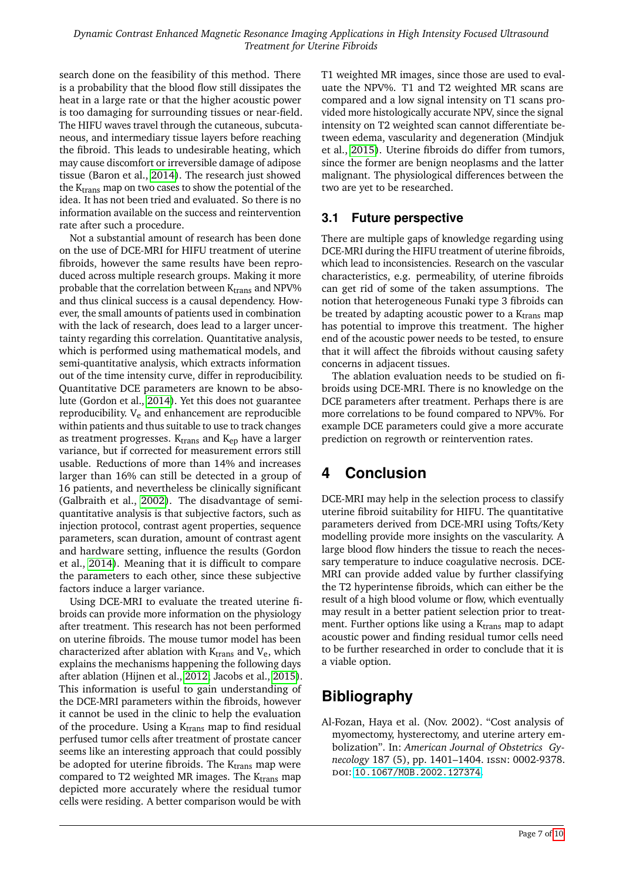search done on the feasibility of this method. There is a probability that the blood flow still dissipates the heat in a large rate or that the higher acoustic power is too damaging for surrounding tissues or near-field. The HIFU waves travel through the cutaneous, subcutaneous, and intermediary tissue layers before reaching the fibroid. This leads to undesirable heating, which may cause discomfort or irreversible damage of adipose tissue (Baron et al., [2014\)](#page-7-22). The research just showed the  $K_{trans}$  map on two cases to show the potential of the idea. It has not been tried and evaluated. So there is no information available on the success and reintervention rate after such a procedure.

Not a substantial amount of research has been done on the use of DCE-MRI for HIFU treatment of uterine fibroids, however the same results have been reproduced across multiple research groups. Making it more probable that the correlation between  $K_{trans}$  and NPV% and thus clinical success is a causal dependency. However, the small amounts of patients used in combination with the lack of research, does lead to a larger uncertainty regarding this correlation. Quantitative analysis, which is performed using mathematical models, and semi-quantitative analysis, which extracts information out of the time intensity curve, differ in reproducibility. Quantitative DCE parameters are known to be absolute (Gordon et al., [2014\)](#page-7-12). Yet this does not guarantee reproducibility.  $V_e$  and enhancement are reproducible within patients and thus suitable to use to track changes as treatment progresses.  $K<sub>trans</sub>$  and  $K<sub>ep</sub>$  have a larger variance, but if corrected for measurement errors still usable. Reductions of more than 14% and increases larger than 16% can still be detected in a group of 16 patients, and nevertheless be clinically significant (Galbraith et al., [2002\)](#page-7-23). The disadvantage of semiquantitative analysis is that subjective factors, such as injection protocol, contrast agent properties, sequence parameters, scan duration, amount of contrast agent and hardware setting, influence the results (Gordon et al., [2014\)](#page-7-12). Meaning that it is difficult to compare the parameters to each other, since these subjective factors induce a larger variance.

Using DCE-MRI to evaluate the treated uterine fibroids can provide more information on the physiology after treatment. This research has not been performed on uterine fibroids. The mouse tumor model has been characterized after ablation with  $K_{trans}$  and  $V_e$ , which explains the mechanisms happening the following days after ablation (Hijnen et al., [2012;](#page-7-18) Jacobs et al., [2015\)](#page-7-19). This information is useful to gain understanding of the DCE-MRI parameters within the fibroids, however it cannot be used in the clinic to help the evaluation of the procedure. Using a  $K<sub>trans</sub>$  map to find residual perfused tumor cells after treatment of prostate cancer seems like an interesting approach that could possibly be adopted for uterine fibroids. The  $K_{trans}$  map were compared to T2 weighted MR images. The  $K<sub>trans</sub>$  map depicted more accurately where the residual tumor cells were residing. A better comparison would be with

T1 weighted MR images, since those are used to evaluate the NPV%. T1 and T2 weighted MR scans are compared and a low signal intensity on T1 scans provided more histologically accurate NPV, since the signal intensity on T2 weighted scan cannot differentiate between edema, vascularity and degeneration (Mindjuk et al., [2015\)](#page-8-10). Uterine fibroids do differ from tumors, since the former are benign neoplasms and the latter malignant. The physiological differences between the two are yet to be researched.

#### **3.1 Future perspective**

There are multiple gaps of knowledge regarding using DCE-MRI during the HIFU treatment of uterine fibroids, which lead to inconsistencies. Research on the vascular characteristics, e.g. permeability, of uterine fibroids can get rid of some of the taken assumptions. The notion that heterogeneous Funaki type 3 fibroids can be treated by adapting acoustic power to a  $K<sub>trans</sub>$  map has potential to improve this treatment. The higher end of the acoustic power needs to be tested, to ensure that it will affect the fibroids without causing safety concerns in adjacent tissues.

The ablation evaluation needs to be studied on fibroids using DCE-MRI. There is no knowledge on the DCE parameters after treatment. Perhaps there is are more correlations to be found compared to NPV%. For example DCE parameters could give a more accurate prediction on regrowth or reintervention rates.

# **4 Conclusion**

DCE-MRI may help in the selection process to classify uterine fibroid suitability for HIFU. The quantitative parameters derived from DCE-MRI using Tofts/Kety modelling provide more insights on the vascularity. A large blood flow hinders the tissue to reach the necessary temperature to induce coagulative necrosis. DCE-MRI can provide added value by further classifying the T2 hyperintense fibroids, which can either be the result of a high blood volume or flow, which eventually may result in a better patient selection prior to treatment. Further options like using a  $K_{trans}$  map to adapt acoustic power and finding residual tumor cells need to be further researched in order to conclude that it is a viable option.

# **Bibliography**

<span id="page-6-0"></span>Al-Fozan, Haya et al. (Nov. 2002). "Cost analysis of myomectomy, hysterectomy, and uterine artery embolization". In: *American Journal of Obstetrics Gynecology* 187 (5), pp. 1401–1404. issn: 0002-9378. doi: [10.1067/MOB.2002.127374](https://doi.org/10.1067/MOB.2002.127374).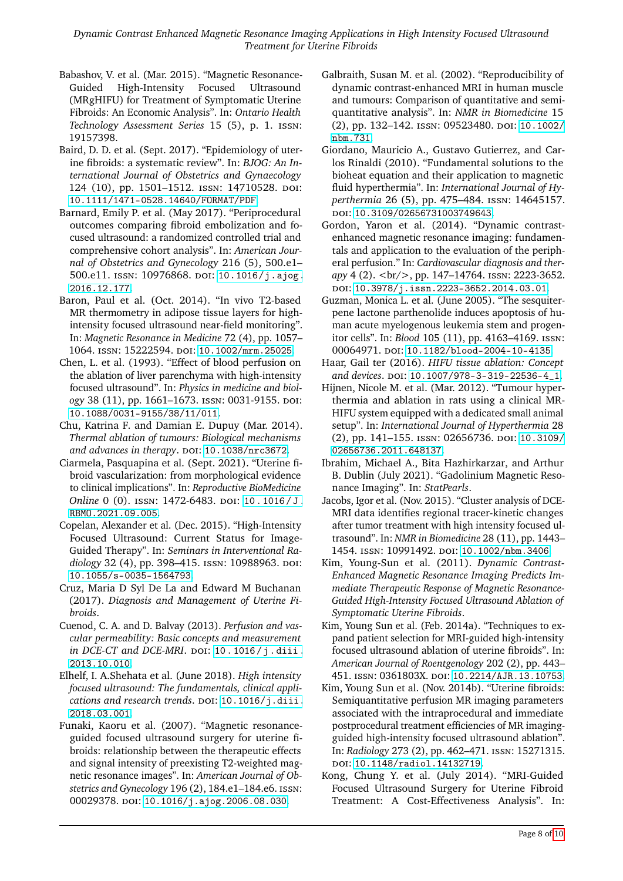- <span id="page-7-2"></span>Babashov, V. et al. (Mar. 2015). "Magnetic Resonance-Guided High-Intensity Focused Ultrasound (MRgHIFU) for Treatment of Symptomatic Uterine Fibroids: An Economic Analysis". In: *Ontario Health Technology Assessment Series* 15 (5), p. 1. issn: 19157398.
- <span id="page-7-0"></span>Baird, D. D. et al. (Sept. 2017). "Epidemiology of uterine fibroids: a systematic review". In: *BJOG: An International Journal of Obstetrics and Gynaecology* 124 (10), pp. 1501–1512. issn: 14710528. doi: [10.1111/1471-0528.14640/FORMAT/PDF](https://doi.org/10.1111/1471-0528.14640/FORMAT/PDF).
- <span id="page-7-4"></span>Barnard, Emily P. et al. (May 2017). "Periprocedural outcomes comparing fibroid embolization and focused ultrasound: a randomized controlled trial and comprehensive cohort analysis". In: *American Journal of Obstetrics and Gynecology* 216 (5), 500.e1– 500.e11. ISSN: 10976868. DOI: [10.1016/j.ajog.](https://doi.org/10.1016/j.ajog.2016.12.177) [2016.12.177](https://doi.org/10.1016/j.ajog.2016.12.177).
- <span id="page-7-22"></span>Baron, Paul et al. (Oct. 2014). "In vivo T2-based MR thermometry in adipose tissue layers for highintensity focused ultrasound near-field monitoring". In: *Magnetic Resonance in Medicine* 72 (4), pp. 1057– 1064. issn: 15222594. doi: [10.1002/mrm.25025](https://doi.org/10.1002/mrm.25025).
- <span id="page-7-15"></span>Chen, L. et al. (1993). "Effect of blood perfusion on the ablation of liver parenchyma with high-intensity focused ultrasound". In: *Physics in medicine and biology* 38 (11), pp. 1661–1673. issn: 0031-9155. doi: [10.1088/0031-9155/38/11/011](https://doi.org/10.1088/0031-9155/38/11/011).
- <span id="page-7-10"></span>Chu, Katrina F. and Damian E. Dupuy (Mar. 2014). *Thermal ablation of tumours: Biological mechanisms* and advances in therapy. DOI: [10.1038/nrc3672](https://doi.org/10.1038/nrc3672).
- <span id="page-7-20"></span>Ciarmela, Pasquapina et al. (Sept. 2021). "Uterine fibroid vascularization: from morphological evidence to clinical implications". In: *Reproductive BioMedicine Online* 0 (0). ISSN: 1472-6483. DOI: 10.1016/J. [RBMO.2021.09.005](https://doi.org/10.1016/J.RBMO.2021.09.005).
- <span id="page-7-5"></span>Copelan, Alexander et al. (Dec. 2015). "High-Intensity Focused Ultrasound: Current Status for Image-Guided Therapy". In: *Seminars in Interventional Radiology* 32 (4), pp. 398–415. ISSN: 10988963. DOI: [10.1055/s-0035-1564793](https://doi.org/10.1055/s-0035-1564793).
- <span id="page-7-1"></span>Cruz, Maria D Syl De La and Edward M Buchanan (2017). *Diagnosis and Management of Uterine Fibroids*.
- <span id="page-7-11"></span>Cuenod, C. A. and D. Balvay (2013). *Perfusion and vascular permeability: Basic concepts and measurement in DCE-CT and DCE-MRI.* DOI: 10.1016/j.diii. [2013.10.010](https://doi.org/10.1016/j.diii.2013.10.010).
- <span id="page-7-7"></span>Elhelf, I. A.Shehata et al. (June 2018). *High intensity focused ultrasound: The fundamentals, clinical applications and research trends.* DOI: [10.1016/j.diii.](https://doi.org/10.1016/j.diii.2018.03.001) [2018.03.001](https://doi.org/10.1016/j.diii.2018.03.001).
- <span id="page-7-8"></span>Funaki, Kaoru et al. (2007). "Magnetic resonanceguided focused ultrasound surgery for uterine fibroids: relationship between the therapeutic effects and signal intensity of preexisting T2-weighted magnetic resonance images". In: *American Journal of Obstetrics and Gynecology* 196 (2), 184.e1–184.e6. issn: 00029378. DOI: [10.1016/j.ajog.2006.08.030](https://doi.org/10.1016/j.ajog.2006.08.030).
- <span id="page-7-23"></span>Galbraith, Susan M. et al. (2002). "Reproducibility of dynamic contrast-enhanced MRI in human muscle and tumours: Comparison of quantitative and semiquantitative analysis". In: *NMR in Biomedicine* 15 (2), pp. 132-142. ISSN: 09523480. DOI: [10.1002/](https://doi.org/10.1002/nbm.731) [nbm.731](https://doi.org/10.1002/nbm.731).
- <span id="page-7-21"></span>Giordano, Mauricio A., Gustavo Gutierrez, and Carlos Rinaldi (2010). "Fundamental solutions to the bioheat equation and their application to magnetic fluid hyperthermia". In: *International Journal of Hyperthermia* 26 (5), pp. 475–484. issn: 14645157. doi: [10.3109/02656731003749643](https://doi.org/10.3109/02656731003749643).
- <span id="page-7-12"></span>Gordon, Yaron et al. (2014). "Dynamic contrastenhanced magnetic resonance imaging: fundamentals and application to the evaluation of the peripheral perfusion." In: *Cardiovascular diagnosis and therapy* 4 (2). <br/>, pp. 147–14764. issn: 2223-3652. doi: [10.3978/j.issn.2223-3652.2014.03.01](https://doi.org/10.3978/j.issn.2223-3652.2014.03.01).
- <span id="page-7-9"></span>Guzman, Monica L. et al. (June 2005). "The sesquiterpene lactone parthenolide induces apoptosis of human acute myelogenous leukemia stem and progenitor cells". In: *Blood* 105 (11), pp. 4163–4169. issn: 00064971. poi: [10.1182/blood-2004-10-4135](https://doi.org/10.1182/blood-2004-10-4135).
- <span id="page-7-6"></span>Haar, Gail ter (2016). *HIFU tissue ablation: Concept* and devices. poi: 10.1007/978-3-319-22536-4<sub>-1</sub>.
- <span id="page-7-18"></span>Hijnen, Nicole M. et al. (Mar. 2012). "Tumour hyperthermia and ablation in rats using a clinical MR-HIFU system equipped with a dedicated small animal setup". In: *International Journal of Hyperthermia* 28 (2), pp. 141–155. issn: 02656736. doi: [10.3109/](https://doi.org/10.3109/02656736.2011.648137) [02656736.2011.648137](https://doi.org/10.3109/02656736.2011.648137).
- <span id="page-7-13"></span>Ibrahim, Michael A., Bita Hazhirkarzar, and Arthur B. Dublin (July 2021). "Gadolinium Magnetic Resonance Imaging". In: *StatPearls*.
- <span id="page-7-19"></span>Jacobs, Igor et al. (Nov. 2015). "Cluster analysis of DCE-MRI data identifies regional tracer-kinetic changes after tumor treatment with high intensity focused ultrasound". In: *NMR in Biomedicine* 28 (11), pp. 1443– 1454. issn: 10991492. doi: [10.1002/nbm.3406](https://doi.org/10.1002/nbm.3406).
- <span id="page-7-17"></span>Kim, Young-Sun et al. (2011). *Dynamic Contrast-Enhanced Magnetic Resonance Imaging Predicts Immediate Therapeutic Response of Magnetic Resonance-Guided High-Intensity Focused Ultrasound Ablation of Symptomatic Uterine Fibroids*.
- <span id="page-7-16"></span>Kim, Young Sun et al. (Feb. 2014a). "Techniques to expand patient selection for MRI-guided high-intensity focused ultrasound ablation of uterine fibroids". In: *American Journal of Roentgenology* 202 (2), pp. 443– 451. issn: 0361803X. doi: [10.2214/AJR.13.10753](https://doi.org/10.2214/AJR.13.10753).
- <span id="page-7-14"></span>Kim, Young Sun et al. (Nov. 2014b). "Uterine fibroids: Semiquantitative perfusion MR imaging parameters associated with the intraprocedural and immediate postprocedural treatment efficiencies of MR imagingguided high-intensity focused ultrasound ablation". In: *Radiology* 273 (2), pp. 462–471. issn: 15271315. doi: [10.1148/radiol.14132719](https://doi.org/10.1148/radiol.14132719).
- <span id="page-7-3"></span>Kong, Chung Y. et al. (July 2014). "MRI-Guided Focused Ultrasound Surgery for Uterine Fibroid Treatment: A Cost-Effectiveness Analysis". In: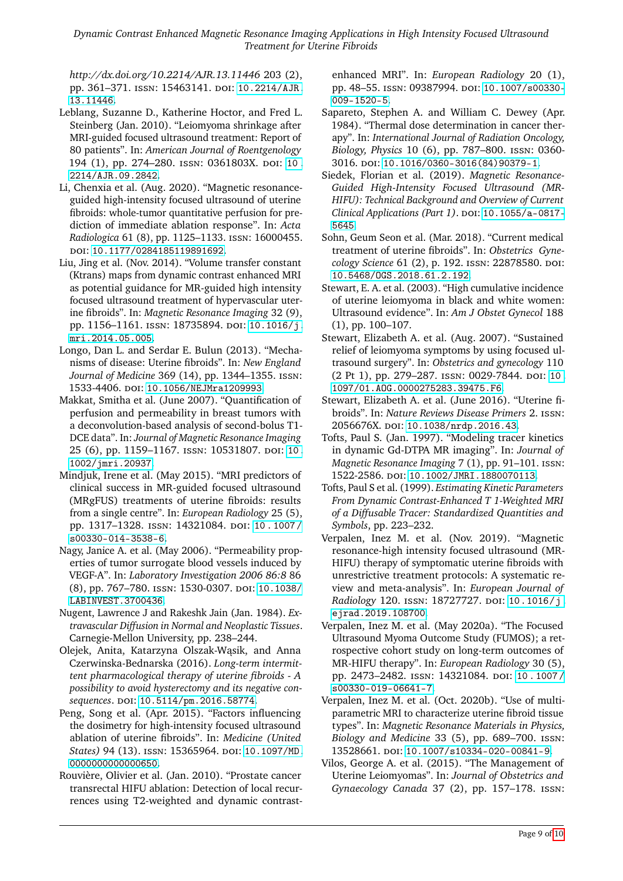*Dynamic Contrast Enhanced Magnetic Resonance Imaging Applications in High Intensity Focused Ultrasound Treatment for Uterine Fibroids*

*http://dx.doi.org/10.2214/AJR.13.11446* 203 (2), pp. 361-371. ISSN: 15463141. DOI: [10.2214/AJR.](https://doi.org/10.2214/AJR.13.11446) [13.11446](https://doi.org/10.2214/AJR.13.11446).

- <span id="page-8-8"></span>Leblang, Suzanne D., Katherine Hoctor, and Fred L. Steinberg (Jan. 2010). "Leiomyoma shrinkage after MRI-guided focused ultrasound treatment: Report of 80 patients". In: *American Journal of Roentgenology* 194 (1), pp. 274–280. issn: 0361803X. doi: [10 .](https://doi.org/10.2214/AJR.09.2842) [2214/AJR.09.2842](https://doi.org/10.2214/AJR.09.2842).
- <span id="page-8-18"></span>Li, Chenxia et al. (Aug. 2020). "Magnetic resonanceguided high-intensity focused ultrasound of uterine fibroids: whole-tumor quantitative perfusion for prediction of immediate ablation response". In: *Acta Radiologica* 61 (8), pp. 1125–1133. issn: 16000455. doi: [10.1177/0284185119891692](https://doi.org/10.1177/0284185119891692).
- <span id="page-8-17"></span>Liu, Jing et al. (Nov. 2014). "Volume transfer constant (Ktrans) maps from dynamic contrast enhanced MRI as potential guidance for MR-guided high intensity focused ultrasound treatment of hypervascular uterine fibroids". In: *Magnetic Resonance Imaging* 32 (9), pp. 1156-1161. ISSN: 18735894. DOI: [10.1016/j.](https://doi.org/10.1016/j.mri.2014.05.005) [mri.2014.05.005](https://doi.org/10.1016/j.mri.2014.05.005).
- <span id="page-8-2"></span>Longo, Dan L. and Serdar E. Bulun (2013). "Mechanisms of disease: Uterine fibroids". In: *New England Journal of Medicine* 369 (14), pp. 1344–1355. issn: 1533-4406. doi: [10.1056/NEJMra1209993](https://doi.org/10.1056/NEJMra1209993).
- <span id="page-8-20"></span>Makkat, Smitha et al. (June 2007). "Quantification of perfusion and permeability in breast tumors with a deconvolution-based analysis of second-bolus T1- DCE data". In: *Journal of Magnetic Resonance Imaging* 25 (6), pp. 1159-1167. ISSN: 10531807. DOI: [10.](https://doi.org/10.1002/jmri.20937) [1002/jmri.20937](https://doi.org/10.1002/jmri.20937).
- <span id="page-8-10"></span>Mindjuk, Irene et al. (May 2015). "MRI predictors of clinical success in MR-guided focused ultrasound (MRgFUS) treatments of uterine fibroids: results from a single centre". In: *European Radiology* 25 (5), pp. 1317-1328. ISSN: 14321084. DOI: 10. 1007/ [s00330-014-3538-6](https://doi.org/10.1007/s00330-014-3538-6).
- <span id="page-8-21"></span>Nagy, Janice A. et al. (May 2006). "Permeability properties of tumor surrogate blood vessels induced by VEGF-A". In: *Laboratory Investigation 2006 86:8* 86 (8), pp. 767–780. issn: 1530-0307. doi: [10.1038/](https://doi.org/10.1038/LABINVEST.3700436) [LABINVEST.3700436](https://doi.org/10.1038/LABINVEST.3700436).
- <span id="page-8-22"></span>Nugent, Lawrence J and Rakeshk Jain (Jan. 1984). *Extravascular Diffusion in Normal and Neoplastic Tissues*. Carnegie-Mellon University, pp. 238–244.
- <span id="page-8-4"></span>Olejek, Anita, Katarzyna Olszak-Wąsik, and Anna Czerwinska-Bednarska (2016). *Long-term intermittent pharmacological therapy of uterine fibroids - A possibility to avoid hysterectomy and its negative consequences*. doi: [10.5114/pm.2016.58774](https://doi.org/10.5114/pm.2016.58774).
- <span id="page-8-12"></span>Peng, Song et al. (Apr. 2015). "Factors influencing the dosimetry for high-intensity focused ultrasound ablation of uterine fibroids". In: *Medicine (United States*) 94 (13). ISSN: 15365964. DOI: [10.1097/MD.](https://doi.org/10.1097/MD.0000000000000650) [0000000000000650](https://doi.org/10.1097/MD.0000000000000650).
- <span id="page-8-19"></span>Rouvière, Olivier et al. (Jan. 2010). "Prostate cancer transrectal HIFU ablation: Detection of local recurrences using T2-weighted and dynamic contrast-

enhanced MRI". In: *European Radiology* 20 (1), pp. 48–55. ISSN: 09387994. DOI: [10.1007/s00330-](https://doi.org/10.1007/s00330-009-1520-5) [009-1520-5](https://doi.org/10.1007/s00330-009-1520-5).

- <span id="page-8-16"></span>Sapareto, Stephen A. and William C. Dewey (Apr. 1984). "Thermal dose determination in cancer therapy". In: *International Journal of Radiation Oncology, Biology, Physics* 10 (6), pp. 787–800. issn: 0360- 3016. doi: [10.1016/0360-3016\(84\)90379-1](https://doi.org/10.1016/0360-3016(84)90379-1).
- <span id="page-8-7"></span>Siedek, Florian et al. (2019). *Magnetic Resonance-Guided High-Intensity Focused Ultrasound (MR-HIFU): Technical Background and Overview of Current Clinical Applications (Part 1).* DOI: [10.1055/a-0817-](https://doi.org/10.1055/a-0817-5645) [5645](https://doi.org/10.1055/a-0817-5645).
- <span id="page-8-3"></span>Sohn, Geum Seon et al. (Mar. 2018). "Current medical treatment of uterine fibroids". In: *Obstetrics Gynecology Science* 61 (2), p. 192. ISSN: 22878580. DOI: [10.5468/OGS.2018.61.2.192](https://doi.org/10.5468/OGS.2018.61.2.192).
- <span id="page-8-1"></span>Stewart, E. A. et al. (2003). "High cumulative incidence of uterine leiomyoma in black and white women: Ultrasound evidence". In: *Am J Obstet Gynecol* 188 (1), pp. 100–107.
- <span id="page-8-11"></span>Stewart, Elizabeth A. et al. (Aug. 2007). "Sustained relief of leiomyoma symptoms by using focused ultrasound surgery". In: *Obstetrics and gynecology* 110 (2 Pt 1), pp. 279–287. issn: 0029-7844. doi: [10.](https://doi.org/10.1097/01.AOG.0000275283.39475.F6) [1097/01.AOG.0000275283.39475.F6](https://doi.org/10.1097/01.AOG.0000275283.39475.F6).
- <span id="page-8-0"></span>Stewart, Elizabeth A. et al. (June 2016). "Uterine fibroids". In: *Nature Reviews Disease Primers* 2. issn: 2056676X. poi: [10.1038/nrdp.2016.43](https://doi.org/10.1038/nrdp.2016.43).
- <span id="page-8-13"></span>Tofts, Paul S. (Jan. 1997). "Modeling tracer kinetics in dynamic Gd-DTPA MR imaging". In: *Journal of Magnetic Resonance Imaging* 7 (1), pp. 91–101. issn: 1522-2586. doi: [10.1002/JMRI.1880070113](https://doi.org/10.1002/JMRI.1880070113).
- <span id="page-8-14"></span>Tofts, Paul S et al. (1999). *Estimating Kinetic Parameters From Dynamic Contrast-Enhanced T 1-Weighted MRI of a Diffusable Tracer: Standardized Quantities and Symbols*, pp. 223–232.
- <span id="page-8-9"></span>Verpalen, Inez M. et al. (Nov. 2019). "Magnetic resonance-high intensity focused ultrasound (MR-HIFU) therapy of symptomatic uterine fibroids with unrestrictive treatment protocols: A systematic review and meta-analysis". In: *European Journal of Radiology* 120. ISSN: 18727727. DOI: [10.1016/j.](https://doi.org/10.1016/j.ejrad.2019.108700) [ejrad.2019.108700](https://doi.org/10.1016/j.ejrad.2019.108700).
- <span id="page-8-6"></span>Verpalen, Inez M. et al. (May 2020a). "The Focused Ultrasound Myoma Outcome Study (FUMOS); a retrospective cohort study on long-term outcomes of MR-HIFU therapy". In: *European Radiology* 30 (5), pp. 2473-2482. ISSN: 14321084. DOI: 10.1007/ [s00330-019-06641-7](https://doi.org/10.1007/s00330-019-06641-7).
- <span id="page-8-15"></span>Verpalen, Inez M. et al. (Oct. 2020b). "Use of multiparametric MRI to characterize uterine fibroid tissue types". In: *Magnetic Resonance Materials in Physics, Biology and Medicine* 33 (5), pp. 689–700. issn: 13528661. doi: [10.1007/s10334-020-00841-9](https://doi.org/10.1007/s10334-020-00841-9).
- <span id="page-8-5"></span>Vilos, George A. et al. (2015). "The Management of Uterine Leiomyomas". In: *Journal of Obstetrics and Gynaecology Canada* 37 (2), pp. 157–178. issn: